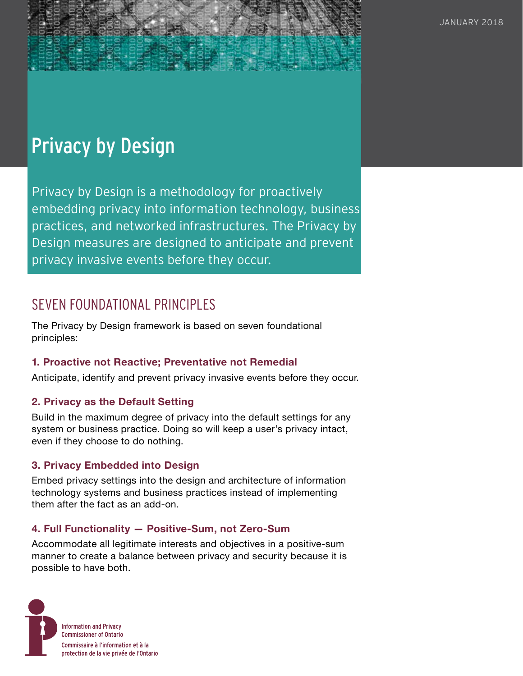# Privacy by Design

Privacy by Design is a methodology for proactively embedding privacy into information technology, business practices, and networked infrastructures. The Privacy by Design measures are designed to anticipate and prevent privacy invasive events before they occur.

# SEVEN FOUNDATIONAL PRINCIPLES

The Privacy by Design framework is based on seven foundational principles:

#### **1. Proactive not Reactive; Preventative not Remedial**

Anticipate, identify and prevent privacy invasive events before they occur.

#### **2. Privacy as the Default Setting**

Build in the maximum degree of privacy into the default settings for any system or business practice. Doing so will keep a user's privacy intact, even if they choose to do nothing.

#### **3. Privacy Embedded into Design**

Embed privacy settings into the design and architecture of information technology systems and business practices instead of implementing them after the fact as an add-on.

#### **4. Full Functionality — Positive-Sum, not Zero-Sum**

Accommodate all legitimate interests and objectives in a positive-sum manner to create a balance between privacy and security because it is possible to have both.